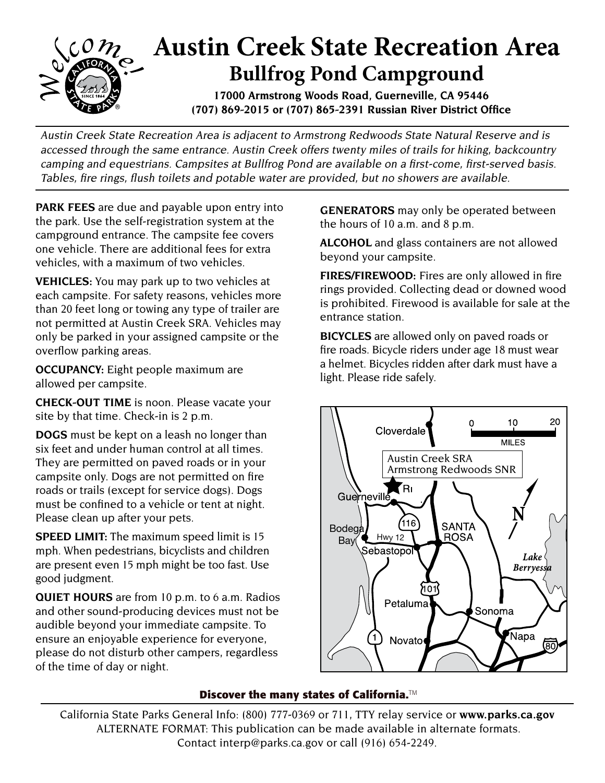

Austin Creek State Recreation Area is adjacent to Armstrong Redwoods State Natural Reserve and is accessed through the same entrance. Austin Creek offers twenty miles of trails for hiking, backcountry camping and equestrians. Campsites at Bullfrog Pond are available on a first-come, first-served basis. Tables, fire rings, flush toilets and potable water are provided, but no showers are available.

**PARK FEES** are due and payable upon entry into the park. Use the self-registration system at the campground entrance. The campsite fee covers one vehicle. There are additional fees for extra vehicles, with a maximum of two vehicles.

**VEHICLES:** You may park up to two vehicles at each campsite. For safety reasons, vehicles more than 20 feet long or towing any type of trailer are not permitted at Austin Creek SRA. Vehicles may only be parked in your assigned campsite or the overflow parking areas.

**OCCUPANCY:** Eight people maximum are allowed per campsite.

**CHECK-OUT TIME** is noon. Please vacate your site by that time. Check-in is 2 p.m.

**DOGS** must be kept on a leash no longer than six feet and under human control at all times. They are permitted on paved roads or in your campsite only. Dogs are not permitted on fire roads or trails (except for service dogs). Dogs must be confined to a vehicle or tent at night. Please clean up after your pets.

**SPEED LIMIT:** The maximum speed limit is 15 mph. When pedestrians, bicyclists and children are present even 15 mph might be too fast. Use good judgment.

**QUIET HOURS** are from 10 p.m. to 6 a.m. Radios and other sound-producing devices must not be audible beyond your immediate campsite. To ensure an enjoyable experience for everyone, please do not disturb other campers, regardless of the time of day or night.

**GENERATORS** may only be operated between the hours of 10 a.m. and 8 p.m.

**ALCOHOL** and glass containers are not allowed beyond your campsite.

**FIRES/FIREWOOD:** Fires are only allowed in fire rings provided. Collecting dead or downed wood is prohibited. Firewood is available for sale at the entrance station.

**BICYCLES** are allowed only on paved roads or fire roads. Bicycle riders under age 18 must wear a helmet. Bicycles ridden after dark must have a light. Please ride safely.



## **Discover the many states of California.**™

California State Parks General Info: (800) 777-0369 or 711, TTY relay service or **www.parks.ca.gov** ALTERNATE FORMAT: This publication can be made available in alternate formats. Contact interp@parks.ca.gov or call (916) 654-2249.